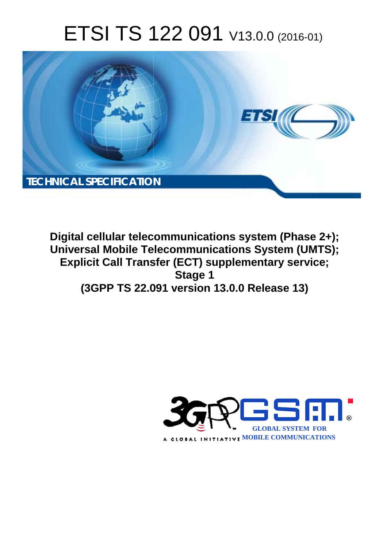# ETSI TS 122 091 V13.0.0 (2016-01)



**Digital cellular telecommunications system (Phase 2+); Universal Mobile Tel elecommunications System ( (UMTS); Explicit Call Transfer (ECT) supplementary service; (3GPP TS 22.0 .091 version 13.0.0 Release 13 13) Stage 1** 

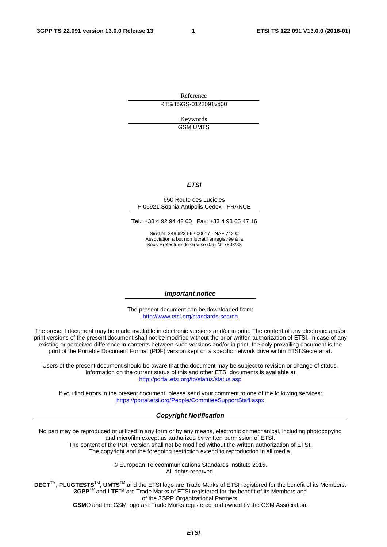Reference RTS/TSGS-0122091vd00

> Keywords GSM,UMTS

#### *ETSI*

#### 650 Route des Lucioles F-06921 Sophia Antipolis Cedex - FRANCE

Tel.: +33 4 92 94 42 00 Fax: +33 4 93 65 47 16

Siret N° 348 623 562 00017 - NAF 742 C Association à but non lucratif enregistrée à la Sous-Préfecture de Grasse (06) N° 7803/88

#### *Important notice*

The present document can be downloaded from: <http://www.etsi.org/standards-search>

The present document may be made available in electronic versions and/or in print. The content of any electronic and/or print versions of the present document shall not be modified without the prior written authorization of ETSI. In case of any existing or perceived difference in contents between such versions and/or in print, the only prevailing document is the print of the Portable Document Format (PDF) version kept on a specific network drive within ETSI Secretariat.

Users of the present document should be aware that the document may be subject to revision or change of status. Information on the current status of this and other ETSI documents is available at <http://portal.etsi.org/tb/status/status.asp>

If you find errors in the present document, please send your comment to one of the following services: <https://portal.etsi.org/People/CommiteeSupportStaff.aspx>

#### *Copyright Notification*

No part may be reproduced or utilized in any form or by any means, electronic or mechanical, including photocopying and microfilm except as authorized by written permission of ETSI.

The content of the PDF version shall not be modified without the written authorization of ETSI. The copyright and the foregoing restriction extend to reproduction in all media.

> © European Telecommunications Standards Institute 2016. All rights reserved.

**DECT**TM, **PLUGTESTS**TM, **UMTS**TM and the ETSI logo are Trade Marks of ETSI registered for the benefit of its Members. **3GPP**TM and **LTE**™ are Trade Marks of ETSI registered for the benefit of its Members and of the 3GPP Organizational Partners.

**GSM**® and the GSM logo are Trade Marks registered and owned by the GSM Association.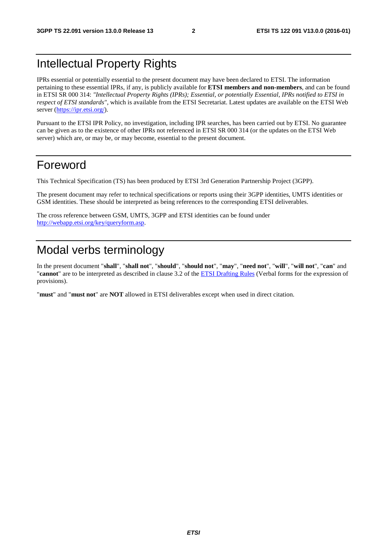### Intellectual Property Rights

IPRs essential or potentially essential to the present document may have been declared to ETSI. The information pertaining to these essential IPRs, if any, is publicly available for **ETSI members and non-members**, and can be found in ETSI SR 000 314: *"Intellectual Property Rights (IPRs); Essential, or potentially Essential, IPRs notified to ETSI in respect of ETSI standards"*, which is available from the ETSI Secretariat. Latest updates are available on the ETSI Web server [\(https://ipr.etsi.org/](https://ipr.etsi.org/)).

Pursuant to the ETSI IPR Policy, no investigation, including IPR searches, has been carried out by ETSI. No guarantee can be given as to the existence of other IPRs not referenced in ETSI SR 000 314 (or the updates on the ETSI Web server) which are, or may be, or may become, essential to the present document.

### Foreword

This Technical Specification (TS) has been produced by ETSI 3rd Generation Partnership Project (3GPP).

The present document may refer to technical specifications or reports using their 3GPP identities, UMTS identities or GSM identities. These should be interpreted as being references to the corresponding ETSI deliverables.

The cross reference between GSM, UMTS, 3GPP and ETSI identities can be found under <http://webapp.etsi.org/key/queryform.asp>.

### Modal verbs terminology

In the present document "**shall**", "**shall not**", "**should**", "**should not**", "**may**", "**need not**", "**will**", "**will not**", "**can**" and "**cannot**" are to be interpreted as described in clause 3.2 of the [ETSI Drafting Rules](http://portal.etsi.org/Help/editHelp!/Howtostart/ETSIDraftingRules.aspx) (Verbal forms for the expression of provisions).

"**must**" and "**must not**" are **NOT** allowed in ETSI deliverables except when used in direct citation.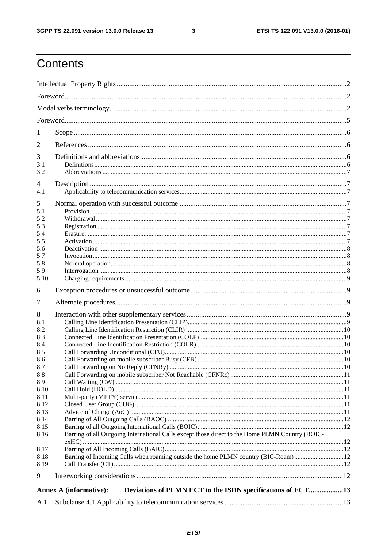$\mathbf{3}$ 

# Contents

| 1            |                                                                                                 |  |  |  |  |  |
|--------------|-------------------------------------------------------------------------------------------------|--|--|--|--|--|
| 2            |                                                                                                 |  |  |  |  |  |
| 3            |                                                                                                 |  |  |  |  |  |
| 3.1          |                                                                                                 |  |  |  |  |  |
| 3.2          |                                                                                                 |  |  |  |  |  |
| 4            |                                                                                                 |  |  |  |  |  |
| 4.1          |                                                                                                 |  |  |  |  |  |
| 5            |                                                                                                 |  |  |  |  |  |
| 5.1<br>5.2   |                                                                                                 |  |  |  |  |  |
| 5.3          |                                                                                                 |  |  |  |  |  |
| 5.4          |                                                                                                 |  |  |  |  |  |
| 5.5          |                                                                                                 |  |  |  |  |  |
| 5.6          |                                                                                                 |  |  |  |  |  |
| 5.7          |                                                                                                 |  |  |  |  |  |
| 5.8          |                                                                                                 |  |  |  |  |  |
| 5.9          |                                                                                                 |  |  |  |  |  |
| 5.10         |                                                                                                 |  |  |  |  |  |
| 6            |                                                                                                 |  |  |  |  |  |
| 7            |                                                                                                 |  |  |  |  |  |
| 8            |                                                                                                 |  |  |  |  |  |
| 8.1          |                                                                                                 |  |  |  |  |  |
| 8.2          |                                                                                                 |  |  |  |  |  |
| 8.3          |                                                                                                 |  |  |  |  |  |
| 8.4<br>8.5   |                                                                                                 |  |  |  |  |  |
| 8.6          |                                                                                                 |  |  |  |  |  |
| 8.7          |                                                                                                 |  |  |  |  |  |
| 8.8          |                                                                                                 |  |  |  |  |  |
| 8.9          |                                                                                                 |  |  |  |  |  |
| 8.10         |                                                                                                 |  |  |  |  |  |
| 8.11         |                                                                                                 |  |  |  |  |  |
| 8.12         |                                                                                                 |  |  |  |  |  |
| 8.13<br>8.14 |                                                                                                 |  |  |  |  |  |
| 8.15         |                                                                                                 |  |  |  |  |  |
| 8.16         | Barring of all Outgoing International Calls except those direct to the Home PLMN Country (BOIC- |  |  |  |  |  |
| 8.17         |                                                                                                 |  |  |  |  |  |
| 8.18         | Barring of Incoming Calls when roaming outside the home PLMN country (BIC-Roam)12               |  |  |  |  |  |
| 8.19         |                                                                                                 |  |  |  |  |  |
| 9            |                                                                                                 |  |  |  |  |  |
|              | Deviations of PLMN ECT to the ISDN specifications of ECT13<br><b>Annex A (informative):</b>     |  |  |  |  |  |
| A.1          |                                                                                                 |  |  |  |  |  |
|              |                                                                                                 |  |  |  |  |  |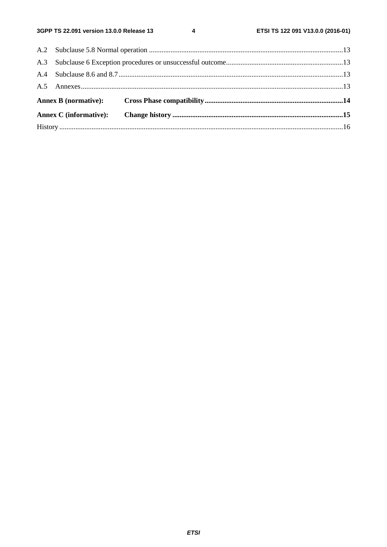$\overline{\mathbf{4}}$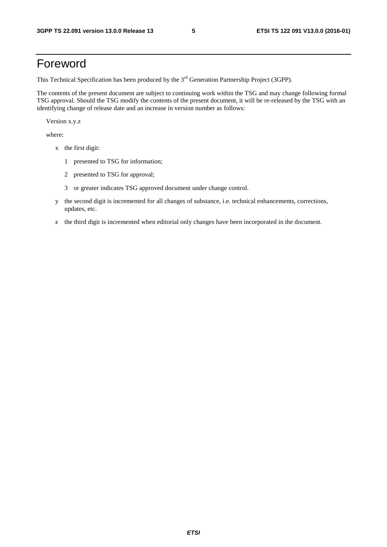### Foreword

This Technical Specification has been produced by the 3<sup>rd</sup> Generation Partnership Project (3GPP).

The contents of the present document are subject to continuing work within the TSG and may change following formal TSG approval. Should the TSG modify the contents of the present document, it will be re-released by the TSG with an identifying change of release date and an increase in version number as follows:

Version x.y.z

where:

- x the first digit:
	- 1 presented to TSG for information;
	- 2 presented to TSG for approval;
	- 3 or greater indicates TSG approved document under change control.
- y the second digit is incremented for all changes of substance, i.e. technical enhancements, corrections, updates, etc.
- z the third digit is incremented when editorial only changes have been incorporated in the document.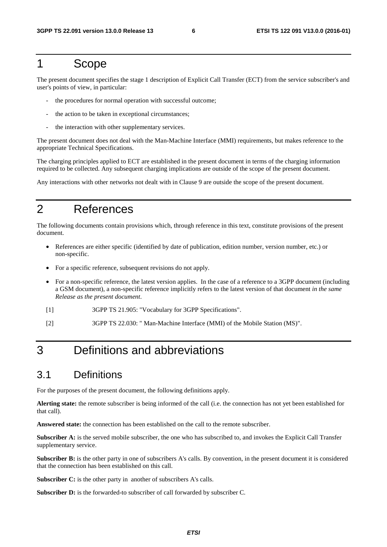#### 1 Scope

The present document specifies the stage 1 description of Explicit Call Transfer (ECT) from the service subscriber's and user's points of view, in particular:

- the procedures for normal operation with successful outcome;
- the action to be taken in exceptional circumstances;
- the interaction with other supplementary services.

The present document does not deal with the Man-Machine Interface (MMI) requirements, but makes reference to the appropriate Technical Specifications.

The charging principles applied to ECT are established in the present document in terms of the charging information required to be collected. Any subsequent charging implications are outside of the scope of the present document.

Any interactions with other networks not dealt with in Clause 9 are outside the scope of the present document.

### 2 References

The following documents contain provisions which, through reference in this text, constitute provisions of the present document.

- References are either specific (identified by date of publication, edition number, version number, etc.) or non-specific.
- For a specific reference, subsequent revisions do not apply.
- For a non-specific reference, the latest version applies. In the case of a reference to a 3GPP document (including a GSM document), a non-specific reference implicitly refers to the latest version of that document *in the same Release as the present document*.
- [1] 3GPP TS 21.905: "Vocabulary for 3GPP Specifications".
- [2] 3GPP TS 22.030: " Man-Machine Interface (MMI) of the Mobile Station (MS)".

### 3 Definitions and abbreviations

#### 3.1 Definitions

For the purposes of the present document, the following definitions apply.

**Alerting state:** the remote subscriber is being informed of the call (i.e. the connection has not yet been established for that call).

**Answered state:** the connection has been established on the call to the remote subscriber.

**Subscriber A:** is the served mobile subscriber, the one who has subscribed to, and invokes the Explicit Call Transfer supplementary service.

**Subscriber B:** is the other party in one of subscribers A's calls. By convention, in the present document it is considered that the connection has been established on this call.

**Subscriber C:** is the other party in another of subscribers A's calls.

Subscriber D: is the forwarded-to subscriber of call forwarded by subscriber C.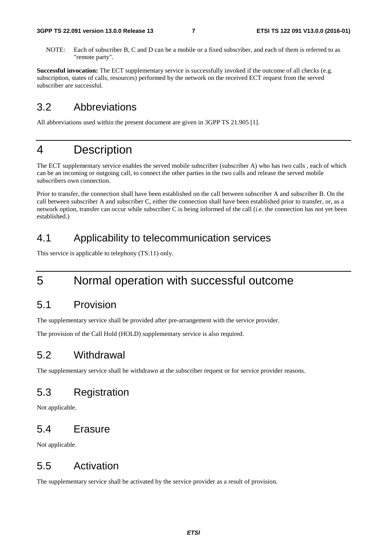NOTE: Each of subscriber B, C and D can be a mobile or a fixed subscriber, and each of them is referred to as "remote party".

**Successful invocation:** The ECT supplementary service is successfully invoked if the outcome of all checks (e.g. subscription, states of calls, resources) performed by the network on the received ECT request from the served subscriber are successful.

#### 3.2 Abbreviations

All abbreviations used within the present document are given in 3GPP TS 21.905 [1].

#### 4 Description

The ECT supplementary service enables the served mobile subscriber (subscriber A) who has two calls , each of which can be an incoming or outgoing call, to connect the other parties in the two calls and release the served mobile subscribers own connection.

Prior to transfer, the connection shall have been established on the call between subscriber A and subscriber B. On the call between subscriber A and subscriber C, either the connection shall have been established prior to transfer, or, as a network option, transfer can occur while subscriber C is being informed of the call (i.e. the connection has not yet been established.)

#### 4.1 Applicability to telecommunication services

This service is applicable to telephony (TS:11) only.

### 5 Normal operation with successful outcome

#### 5.1 Provision

The supplementary service shall be provided after pre-arrangement with the service provider.

The provision of the Call Hold (HOLD) supplementary service is also required.

#### 5.2 Withdrawal

The supplementary service shall be withdrawn at the subscriber request or for service provider reasons.

#### 5.3 Registration

Not applicable.

#### 5.4 Erasure

Not applicable.

#### 5.5 Activation

The supplementary service shall be activated by the service provider as a result of provision.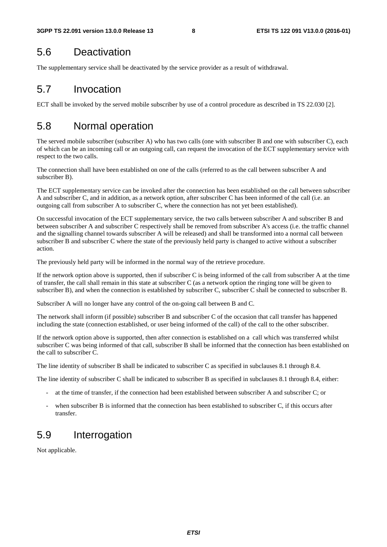### 5.6 Deactivation

The supplementary service shall be deactivated by the service provider as a result of withdrawal.

### 5.7 Invocation

ECT shall be invoked by the served mobile subscriber by use of a control procedure as described in TS 22.030 [2].

### 5.8 Normal operation

The served mobile subscriber (subscriber A) who has two calls (one with subscriber B and one with subscriber C), each of which can be an incoming call or an outgoing call, can request the invocation of the ECT supplementary service with respect to the two calls.

The connection shall have been established on one of the calls (referred to as the call between subscriber A and subscriber B).

The ECT supplementary service can be invoked after the connection has been established on the call between subscriber A and subscriber C, and in addition, as a network option, after subscriber C has been informed of the call (i.e. an outgoing call from subscriber A to subscriber C, where the connection has not yet been established).

On successful invocation of the ECT supplementary service, the two calls between subscriber A and subscriber B and between subscriber A and subscriber C respectively shall be removed from subscriber A's access (i.e. the traffic channel and the signalling channel towards subscriber A will be released) and shall be transformed into a normal call between subscriber B and subscriber C where the state of the previously held party is changed to active without a subscriber action.

The previously held party will be informed in the normal way of the retrieve procedure.

If the network option above is supported, then if subscriber C is being informed of the call from subscriber A at the time of transfer, the call shall remain in this state at subscriber C (as a network option the ringing tone will be given to subscriber B), and when the connection is established by subscriber C, subscriber C shall be connected to subscriber B.

Subscriber A will no longer have any control of the on-going call between B and C.

The network shall inform (if possible) subscriber B and subscriber C of the occasion that call transfer has happened including the state (connection established, or user being informed of the call) of the call to the other subscriber.

If the network option above is supported, then after connection is established on a call which was transferred whilst subscriber C was being informed of that call, subscriber B shall be informed that the connection has been established on the call to subscriber C.

The line identity of subscriber B shall be indicated to subscriber C as specified in subclauses 8.1 through 8.4.

The line identity of subscriber C shall be indicated to subscriber B as specified in subclauses 8.1 through 8.4, either:

- at the time of transfer, if the connection had been established between subscriber A and subscriber C; or
- when subscriber B is informed that the connection has been established to subscriber C, if this occurs after transfer.

### 5.9 Interrogation

Not applicable.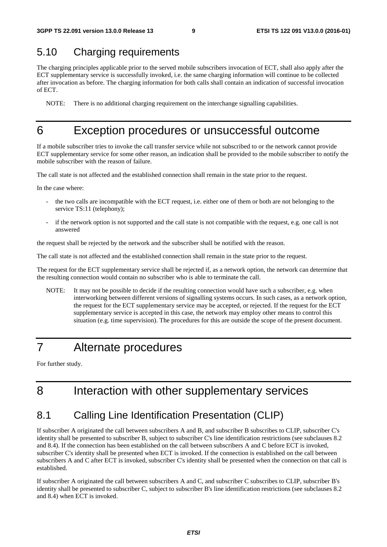#### 5.10 Charging requirements

The charging principles applicable prior to the served mobile subscribers invocation of ECT, shall also apply after the ECT supplementary service is successfully invoked, i.e. the same charging information will continue to be collected after invocation as before. The charging information for both calls shall contain an indication of successful invocation of ECT.

NOTE: There is no additional charging requirement on the interchange signalling capabilities.

#### 6 Exception procedures or unsuccessful outcome

If a mobile subscriber tries to invoke the call transfer service while not subscribed to or the network cannot provide ECT supplementary service for some other reason, an indication shall be provided to the mobile subscriber to notify the mobile subscriber with the reason of failure.

The call state is not affected and the established connection shall remain in the state prior to the request.

In the case where:

- the two calls are incompatible with the ECT request, i.e. either one of them or both are not belonging to the service TS:11 (telephony);
- if the network option is not supported and the call state is not compatible with the request, e.g. one call is not answered

the request shall be rejected by the network and the subscriber shall be notified with the reason.

The call state is not affected and the established connection shall remain in the state prior to the request.

The request for the ECT supplementary service shall be rejected if, as a network option, the network can determine that the resulting connection would contain no subscriber who is able to terminate the call.

NOTE: It may not be possible to decide if the resulting connection would have such a subscriber, e.g. when interworking between different versions of signalling systems occurs. In such cases, as a network option, the request for the ECT supplementary service may be accepted, or rejected. If the request for the ECT supplementary service is accepted in this case, the network may employ other means to control this situation (e.g. time supervision). The procedures for this are outside the scope of the present document.

### 7 Alternate procedures

For further study.

### 8 Interaction with other supplementary services

#### 8.1 Calling Line Identification Presentation (CLIP)

If subscriber A originated the call between subscribers A and B, and subscriber B subscribes to CLIP, subscriber C's identity shall be presented to subscriber B, subject to subscriber C's line identification restrictions (see subclauses 8.2 and 8.4). If the connection has been established on the call between subscribers A and C before ECT is invoked, subscriber C's identity shall be presented when ECT is invoked. If the connection is established on the call between subscribers A and C after ECT is invoked, subscriber C's identity shall be presented when the connection on that call is established.

If subscriber A originated the call between subscribers A and C, and subscriber C subscribes to CLIP, subscriber B's identity shall be presented to subscriber C, subject to subscriber B's line identification restrictions (see subclauses 8.2 and 8.4) when ECT is invoked.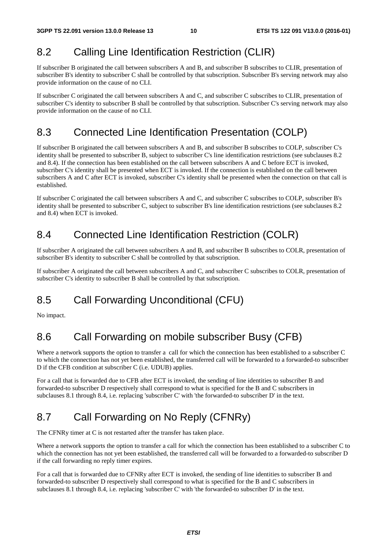#### 8.2 Calling Line Identification Restriction (CLIR)

If subscriber B originated the call between subscribers A and B, and subscriber B subscribes to CLIR, presentation of subscriber B's identity to subscriber C shall be controlled by that subscription. Subscriber B's serving network may also provide information on the cause of no CLI.

If subscriber C originated the call between subscribers A and C, and subscriber C subscribes to CLIR, presentation of subscriber C's identity to subscriber B shall be controlled by that subscription. Subscriber C's serving network may also provide information on the cause of no CLI.

#### 8.3 Connected Line Identification Presentation (COLP)

If subscriber B originated the call between subscribers A and B, and subscriber B subscribes to COLP, subscriber C's identity shall be presented to subscriber B, subject to subscriber C's line identification restrictions (see subclauses 8.2 and 8.4). If the connection has been established on the call between subscribers A and C before ECT is invoked, subscriber C's identity shall be presented when ECT is invoked. If the connection is established on the call between subscribers A and C after ECT is invoked, subscriber C's identity shall be presented when the connection on that call is established.

If subscriber C originated the call between subscribers A and C, and subscriber C subscribes to COLP, subscriber B's identity shall be presented to subscriber C, subject to subscriber B's line identification restrictions (see subclauses 8.2 and 8.4) when ECT is invoked.

#### 8.4 Connected Line Identification Restriction (COLR)

If subscriber A originated the call between subscribers A and B, and subscriber B subscribes to COLR, presentation of subscriber B's identity to subscriber C shall be controlled by that subscription.

If subscriber A originated the call between subscribers A and C, and subscriber C subscribes to COLR, presentation of subscriber C's identity to subscriber B shall be controlled by that subscription.

### 8.5 Call Forwarding Unconditional (CFU)

No impact.

### 8.6 Call Forwarding on mobile subscriber Busy (CFB)

Where a network supports the option to transfer a call for which the connection has been established to a subscriber C to which the connection has not yet been established, the transferred call will be forwarded to a forwarded-to subscriber D if the CFB condition at subscriber C (i.e. UDUB) applies.

For a call that is forwarded due to CFB after ECT is invoked, the sending of line identities to subscriber B and forwarded-to subscriber D respectively shall correspond to what is specified for the B and C subscribers in subclauses 8.1 through 8.4, i.e. replacing 'subscriber C' with 'the forwarded-to subscriber D' in the text.

### 8.7 Call Forwarding on No Reply (CFNRy)

The CFNRy timer at C is not restarted after the transfer has taken place.

Where a network supports the option to transfer a call for which the connection has been established to a subscriber C to which the connection has not yet been established, the transferred call will be forwarded to a forwarded-to subscriber D if the call forwarding no reply timer expires.

For a call that is forwarded due to CFNRy after ECT is invoked, the sending of line identities to subscriber B and forwarded-to subscriber D respectively shall correspond to what is specified for the B and C subscribers in subclauses 8.1 through 8.4, i.e. replacing 'subscriber C' with 'the forwarded-to subscriber D' in the text.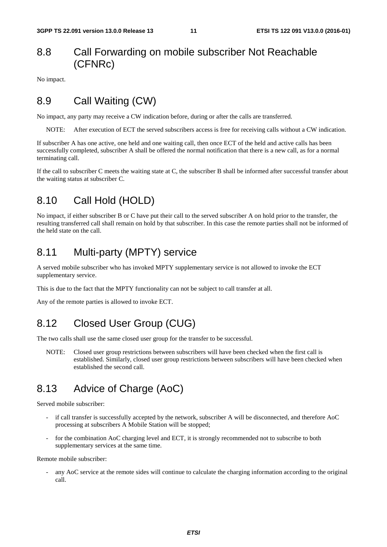#### 8.8 Call Forwarding on mobile subscriber Not Reachable (CFNRc)

No impact.

#### 8.9 Call Waiting (CW)

No impact, any party may receive a CW indication before, during or after the calls are transferred.

NOTE: After execution of ECT the served subscribers access is free for receiving calls without a CW indication.

If subscriber A has one active, one held and one waiting call, then once ECT of the held and active calls has been successfully completed, subscriber A shall be offered the normal notification that there is a new call, as for a normal terminating call.

If the call to subscriber C meets the waiting state at C, the subscriber B shall be informed after successful transfer about the waiting status at subscriber C.

#### 8.10 Call Hold (HOLD)

No impact, if either subscriber B or C have put their call to the served subscriber A on hold prior to the transfer, the resulting transferred call shall remain on hold by that subscriber. In this case the remote parties shall not be informed of the held state on the call.

#### 8.11 Multi-party (MPTY) service

A served mobile subscriber who has invoked MPTY supplementary service is not allowed to invoke the ECT supplementary service.

This is due to the fact that the MPTY functionality can not be subject to call transfer at all.

Any of the remote parties is allowed to invoke ECT.

#### 8.12 Closed User Group (CUG)

The two calls shall use the same closed user group for the transfer to be successful.

NOTE: Closed user group restrictions between subscribers will have been checked when the first call is established. Similarly, closed user group restrictions between subscribers will have been checked when established the second call.

### 8.13 Advice of Charge (AoC)

Served mobile subscriber:

- if call transfer is successfully accepted by the network, subscriber A will be disconnected, and therefore AoC processing at subscribers A Mobile Station will be stopped;
- for the combination AoC charging level and ECT, it is strongly recommended not to subscribe to both supplementary services at the same time.

Remote mobile subscriber:

any AoC service at the remote sides will continue to calculate the charging information according to the original call.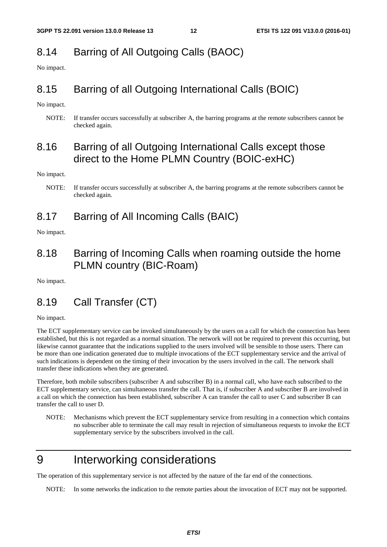### 8.14 Barring of All Outgoing Calls (BAOC)

No impact.

### 8.15 Barring of all Outgoing International Calls (BOIC)

No impact.

NOTE: If transfer occurs successfully at subscriber A, the barring programs at the remote subscribers cannot be checked again.

#### 8.16 Barring of all Outgoing International Calls except those direct to the Home PLMN Country (BOIC-exHC)

No impact.

#### 8.17 Barring of All Incoming Calls (BAIC)

No impact.

#### 8.18 Barring of Incoming Calls when roaming outside the home PLMN country (BIC-Roam)

No impact.

### 8.19 Call Transfer (CT)

No impact.

The ECT supplementary service can be invoked simultaneously by the users on a call for which the connection has been established, but this is not regarded as a normal situation. The network will not be required to prevent this occurring, but likewise cannot guarantee that the indications supplied to the users involved will be sensible to those users. There can be more than one indication generated due to multiple invocations of the ECT supplementary service and the arrival of such indications is dependent on the timing of their invocation by the users involved in the call. The network shall transfer these indications when they are generated.

Therefore, both mobile subscribers (subscriber A and subscriber B) in a normal call, who have each subscribed to the ECT supplementary service, can simultaneous transfer the call. That is, if subscriber A and subscriber B are involved in a call on which the connection has been established, subscriber A can transfer the call to user C and subscriber B can transfer the call to user D.

NOTE: Mechanisms which prevent the ECT supplementary service from resulting in a connection which contains no subscriber able to terminate the call may result in rejection of simultaneous requests to invoke the ECT supplementary service by the subscribers involved in the call.

## 9 Interworking considerations

The operation of this supplementary service is not affected by the nature of the far end of the connections.

NOTE: In some networks the indication to the remote parties about the invocation of ECT may not be supported.

NOTE: If transfer occurs successfully at subscriber A, the barring programs at the remote subscribers cannot be checked again.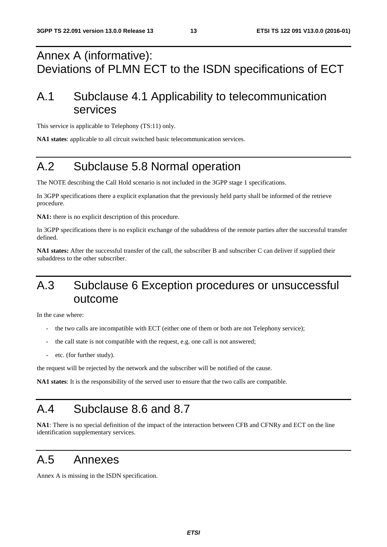## Annex A (informative): Deviations of PLMN ECT to the ISDN specifications of ECT

### A.1 Subclause 4.1 Applicability to telecommunication services

This service is applicable to Telephony (TS:11) only.

**NA1 states**: applicable to all circuit switched basic telecommunication services.

### A.2 Subclause 5.8 Normal operation

The NOTE describing the Call Hold scenario is not included in the 3GPP stage 1 specifications.

In 3GPP specifications there a explicit explanation that the previously held party shall be informed of the retrieve procedure.

**NA1:** there is no explicit description of this procedure.

In 3GPP specifications there is no explicit exchange of the subaddress of the remote parties after the successful transfer defined.

**NA1 states:** After the successful transfer of the call, the subscriber B and subscriber C can deliver if supplied their subaddress to the other subscriber.

### A.3 Subclause 6 Exception procedures or unsuccessful outcome

In the case where:

- the two calls are incompatible with ECT (either one of them or both are not Telephony service);
- the call state is not compatible with the request, e.g. one call is not answered;
- etc. (for further study).

the request will be rejected by the network and the subscriber will be notified of the cause.

**NA1 states**: It is the responsibility of the served user to ensure that the two calls are compatible.

### A.4 Subclause 8.6 and 8.7

**NA1**: There is no special definition of the impact of the interaction between CFB and CFNRy and ECT on the line identification supplementary services.

### A.5 Annexes

Annex A is missing in the ISDN specification.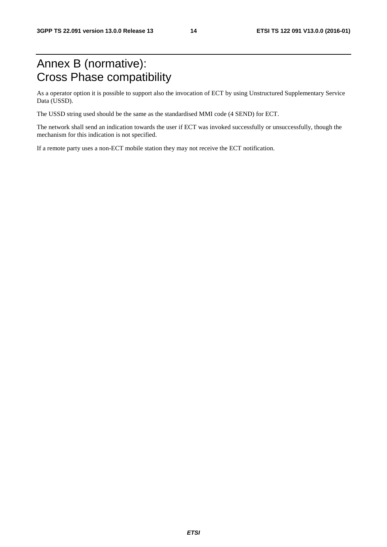### Annex B (normative): Cross Phase compatibility

As a operator option it is possible to support also the invocation of ECT by using Unstructured Supplementary Service Data (USSD).

The USSD string used should be the same as the standardised MMI code (4 SEND) for ECT.

The network shall send an indication towards the user if ECT was invoked successfully or unsuccessfully, though the mechanism for this indication is not specified.

If a remote party uses a non-ECT mobile station they may not receive the ECT notification.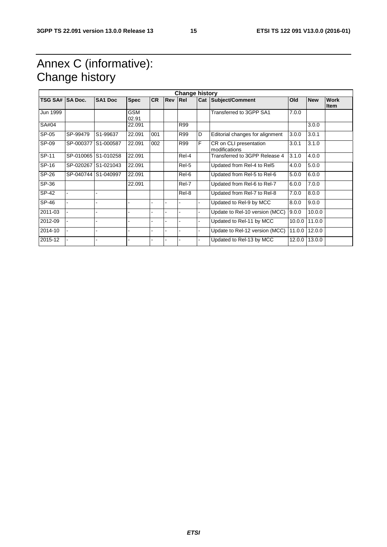# Annex C (informative): Change history

| <b>Change history</b> |           |                     |                     |           |                |       |                |                                         |            |            |                            |
|-----------------------|-----------|---------------------|---------------------|-----------|----------------|-------|----------------|-----------------------------------------|------------|------------|----------------------------|
| TSG SA# SA Doc.       |           | <b>SA1 Doc</b>      | <b>Spec</b>         | <b>CR</b> | <b>Rev Rel</b> |       |                | Cat Subject/Comment                     | <b>Old</b> | <b>New</b> | <b>Work</b><br><b>Item</b> |
| Jun 1999              |           |                     | <b>GSM</b><br>02.91 |           |                |       |                | Transferred to 3GPP SA1                 | 7.0.0      |            |                            |
| SA#04                 |           |                     | 22.091              |           |                | R99   |                |                                         |            | 3.0.0      |                            |
| SP-05                 | SP-99479  | S1-99637            | 22.091              | 001       |                | R99   | D              | Editorial changes for alignment         | 3.0.0      | 3.0.1      |                            |
| SP-09                 | SP-000377 | S1-000587           | 22.091              | 002       |                | R99   | F              | CR on CLI presentation<br>modifications | 3.0.1      | 3.1.0      |                            |
| SP-11                 |           | SP-010065 S1-010258 | 22.091              |           |                | Rel-4 |                | Transferred to 3GPP Release 4           | 3.1.0      | 4.0.0      |                            |
| SP-16                 | SP-020267 | S1-021043           | 22.091              |           |                | Rel-5 |                | Updated from Rel-4 to Rel5              | 4.0.0      | 5.0.0      |                            |
| SP-26                 |           | SP-040744 S1-040997 | 22.091              |           |                | Rel-6 |                | Updated from Rel-5 to Rel-6             | 5.0.0      | 6.0.0      |                            |
| SP-36                 |           |                     | 22.091              |           |                | Rel-7 |                | Updated from Rel-6 to Rel-7             | 6.0.0      | 7.0.0      |                            |
| SP-42                 |           |                     |                     |           |                | Rel-8 |                | Updated from Rel-7 to Rel-8             | 7.0.0      | 8.0.0      |                            |
| SP-46                 |           |                     |                     |           |                |       | $\blacksquare$ | Updated to Rel-9 by MCC                 | 8.0.0      | 9.0.0      |                            |
| 2011-03               |           |                     |                     |           |                |       |                | Update to Rel-10 version (MCC)          | 9.0.0      | 10.0.0     |                            |
| 2012-09               |           |                     |                     |           |                |       |                | Updated to Rel-11 by MCC                | 10.0.0     | 11.0.0     |                            |
| 2014-10               |           |                     |                     |           | ۰              |       |                | Update to Rel-12 version (MCC)          | 11.0.0     | 12.0.0     |                            |
| 2015-12               |           |                     |                     |           |                |       |                | Updated to Rel-13 by MCC                | 12.0.0     | 13.0.0     |                            |